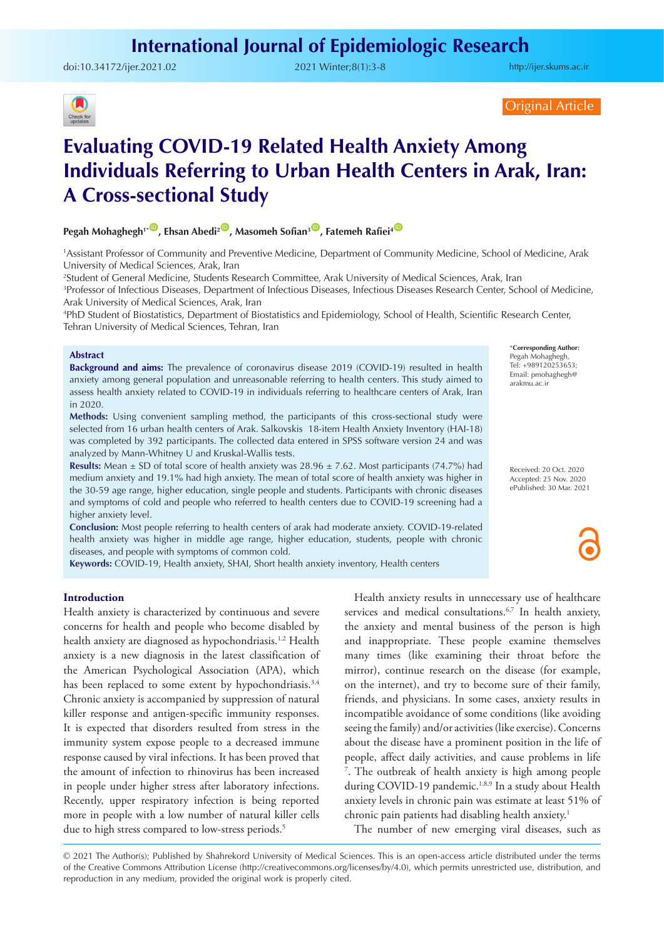doi:[10.34172/ijer.2021.02](https://doi.org/10.34172/ijer.2021.02) 2021 Winter;8(1):3-8

<http://ijer.skums.ac.ir>



Original Article

# **Evaluating COVID-19 Related Health Anxiety Among Individuals Referring to Urban Health Centers in Arak, Iran: A Cross-sectional Study**

**Pegah Mohaghegh<sup>1\*</sub><sup>(D</sup>, Ehsan Abedi<sup>2<sup>(D</sup>, Masomeh Sofian<sup>3</sup><sup>(D</sup>, Fatemeh Rafiei<sup>4</sup><sup>(D</sup>)**</sup></sup>

1 Assistant Professor of Community and Preventive Medicine, Department of Community Medicine, School of Medicine, Arak University of Medical Sciences, Arak, Iran

2 Student of General Medicine, Students Research Committee, Arak University of Medical Sciences, Arak, Iran

3 Professor of Infectious Diseases, Department of Infectious Diseases, Infectious Diseases Research Center, School of Medicine, Arak University of Medical Sciences, Arak, Iran

4 PhD Student of Biostatistics, Department of Biostatistics and Epidemiology, School of Health, Scientific Research Center, Tehran University of Medical Sciences, Tehran, Iran

#### **Abstract**

**Background and aims:** The prevalence of coronavirus disease 2019 (COVID-19) resulted in health anxiety among general population and unreasonable referring to health centers. This study aimed to assess health anxiety related to COVID-19 in individuals referring to healthcare centers of Arak, Iran in 2020.

**Methods:** Using convenient sampling method, the participants of this cross-sectional study were selected from 16 urban health centers of Arak. Salkovskis 18-item Health Anxiety Inventory (HAI-18) was completed by 392 participants. The collected data entered in SPSS software version 24 and was analyzed by Mann-Whitney U and Kruskal-Wallis tests.

**Results:** Mean  $\pm$  SD of total score of health anxiety was 28.96  $\pm$  7.62. Most participants (74.7%) had medium anxiety and 19.1% had high anxiety. The mean of total score of health anxiety was higher in the 30-59 age range, higher education, single people and students. Participants with chronic diseases and symptoms of cold and people who referred to health centers due to COVID-19 screening had a higher anxiety level.

**Conclusion:** Most people referring to health centers of arak had moderate anxiety. COVID-19-related health anxiety was higher in middle age range, higher education, students, people with chronic diseases, and people with symptoms of common cold.

**Keywords:** COVID-19, Health anxiety, SHAI, Short health anxiety inventory, Health centers

**Introduction**

Health anxiety is characterized by continuous and severe concerns for health and people who become disabled by health anxiety are diagnosed as hypochondriasis.<sup>1,2</sup> Health anxiety is a new diagnosis in the latest classification of the American Psychological Association (APA), which has been replaced to some extent by hypochondriasis.<sup>3,4</sup> Chronic anxiety is accompanied by suppression of natural killer response and antigen-specific immunity responses. It is expected that disorders resulted from stress in the immunity system expose people to a decreased immune response caused by viral infections. It has been proved that the amount of infection to rhinovirus has been increased in people under higher stress after laboratory infections. Recently, upper respiratory infection is being reported more in people with a low number of natural killer cells due to high stress compared to low-stress periods.<sup>5</sup>

Health anxiety results in unnecessary use of healthcare services and medical consultations.<sup>6,7</sup> In health anxiety, the anxiety and mental business of the person is high and inappropriate. These people examine themselves many times (like examining their throat before the mirror), continue research on the disease (for example, on the internet), and try to become sure of their family, friends, and physicians. In some cases, anxiety results in incompatible avoidance of some conditions (like avoiding seeing the family) and/or activities (like exercise). Concerns about the disease have a prominent position in the life of people, affect daily activities, and cause problems in life 7 . The outbreak of health anxiety is high among people during COVID-19 pandemic.<sup>1,8,9</sup> In a study about Health anxiety levels in chronic pain was estimate at least 51% of chronic pain patients had disabling health anxiety.<sup>1</sup>

The number of new emerging viral diseases, such as

© 2021 The Author(s); Published by Shahrekord University of Medical Sciences. This is an open-access article distributed under the terms of the Creative Commons Attribution License (http://creativecommons.org/licenses/by/4.0), which permits unrestricted use, distribution, and reproduction in any medium, provided the original work is properly cited.

\***Corresponding Author:** Pegah Mohaghegh, Tel: +989120253653; Email: pmohaghegh@ arakmu.ac.ir

Received: 20 Oct. 2020 Accepted: 25 Nov. 2020 ePublished: 30 Mar. 2021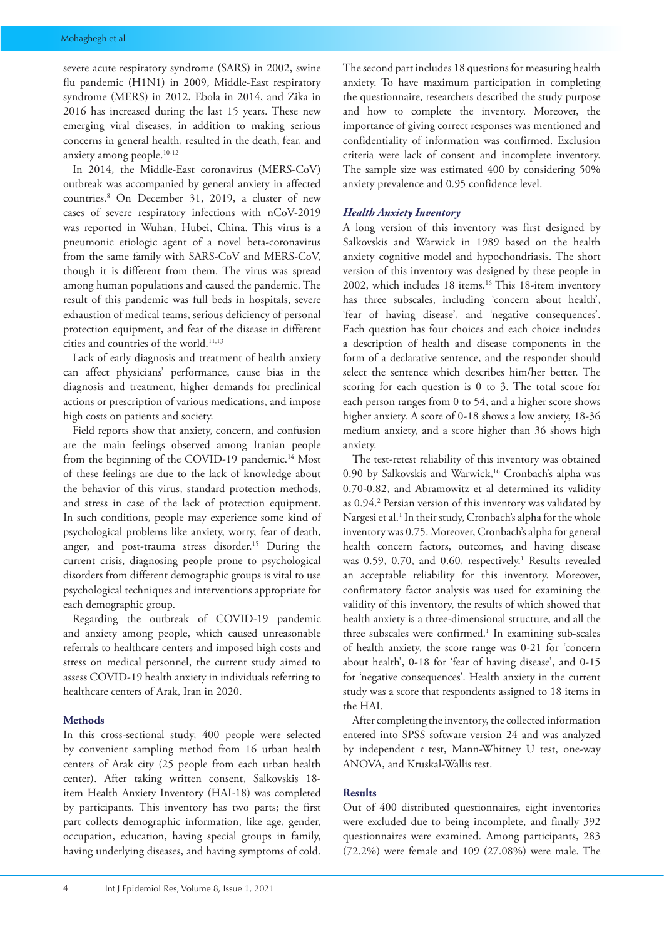severe acute respiratory syndrome (SARS) in 2002, swine flu pandemic (H1N1) in 2009, Middle-East respiratory syndrome (MERS) in 2012, Ebola in 2014, and Zika in 2016 has increased during the last 15 years. These new emerging viral diseases, in addition to making serious concerns in general health, resulted in the death, fear, and anxiety among people.10-12

In 2014, the Middle-East coronavirus (MERS-CoV) outbreak was accompanied by general anxiety in affected countries.8 On December 31, 2019, a cluster of new cases of severe respiratory infections with nCoV-2019 was reported in Wuhan, Hubei, China. This virus is a pneumonic etiologic agent of a novel beta-coronavirus from the same family with SARS-CoV and MERS-CoV, though it is different from them. The virus was spread among human populations and caused the pandemic. The result of this pandemic was full beds in hospitals, severe exhaustion of medical teams, serious deficiency of personal protection equipment, and fear of the disease in different cities and countries of the world.<sup>11,13</sup>

Lack of early diagnosis and treatment of health anxiety can affect physicians' performance, cause bias in the diagnosis and treatment, higher demands for preclinical actions or prescription of various medications, and impose high costs on patients and society.

Field reports show that anxiety, concern, and confusion are the main feelings observed among Iranian people from the beginning of the COVID-19 pandemic.<sup>14</sup> Most of these feelings are due to the lack of knowledge about the behavior of this virus, standard protection methods, and stress in case of the lack of protection equipment. In such conditions, people may experience some kind of psychological problems like anxiety, worry, fear of death, anger, and post-trauma stress disorder.<sup>15</sup> During the current crisis, diagnosing people prone to psychological disorders from different demographic groups is vital to use psychological techniques and interventions appropriate for each demographic group.

Regarding the outbreak of COVID-19 pandemic and anxiety among people, which caused unreasonable referrals to healthcare centers and imposed high costs and stress on medical personnel, the current study aimed to assess COVID-19 health anxiety in individuals referring to healthcare centers of Arak, Iran in 2020.

# **Methods**

In this cross-sectional study, 400 people were selected by convenient sampling method from 16 urban health centers of Arak city (25 people from each urban health center). After taking written consent, Salkovskis 18 item Health Anxiety Inventory (HAI-18) was completed by participants. This inventory has two parts; the first part collects demographic information, like age, gender, occupation, education, having special groups in family, having underlying diseases, and having symptoms of cold. The second part includes 18 questions for measuring health anxiety. To have maximum participation in completing the questionnaire, researchers described the study purpose and how to complete the inventory. Moreover, the importance of giving correct responses was mentioned and confidentiality of information was confirmed. Exclusion criteria were lack of consent and incomplete inventory. The sample size was estimated 400 by considering 50% anxiety prevalence and 0.95 confidence level.

### *Health Anxiety Inventory*

A long version of this inventory was first designed by Salkovskis and Warwick in 1989 based on the health anxiety cognitive model and hypochondriasis. The short version of this inventory was designed by these people in 2002, which includes 18 items.16 This 18-item inventory has three subscales, including 'concern about health', 'fear of having disease', and 'negative consequences'. Each question has four choices and each choice includes a description of health and disease components in the form of a declarative sentence, and the responder should select the sentence which describes him/her better. The scoring for each question is 0 to 3. The total score for each person ranges from 0 to 54, and a higher score shows higher anxiety. A score of 0-18 shows a low anxiety, 18-36 medium anxiety, and a score higher than 36 shows high anxiety.

The test-retest reliability of this inventory was obtained 0.90 by Salkovskis and Warwick,<sup>16</sup> Cronbach's alpha was 0.70-0.82, and Abramowitz et al determined its validity as 0.94.<sup>2</sup> Persian version of this inventory was validated by Nargesi et al.<sup>1</sup> In their study, Cronbach's alpha for the whole inventory was 0.75. Moreover, Cronbach's alpha for general health concern factors, outcomes, and having disease was 0.59, 0.70, and 0.60, respectively.<sup>1</sup> Results revealed an acceptable reliability for this inventory. Moreover, confirmatory factor analysis was used for examining the validity of this inventory, the results of which showed that health anxiety is a three-dimensional structure, and all the three subscales were confirmed.<sup>1</sup> In examining sub-scales of health anxiety, the score range was 0-21 for 'concern about health', 0-18 for 'fear of having disease', and 0-15 for 'negative consequences'. Health anxiety in the current study was a score that respondents assigned to 18 items in the HAI.

After completing the inventory, the collected information entered into SPSS software version 24 and was analyzed by independent *t* test, Mann-Whitney U test, one-way ANOVA, and Kruskal-Wallis test.

### **Results**

Out of 400 distributed questionnaires, eight inventories were excluded due to being incomplete, and finally 392 questionnaires were examined. Among participants, 283 (72.2%) were female and 109 (27.08%) were male. The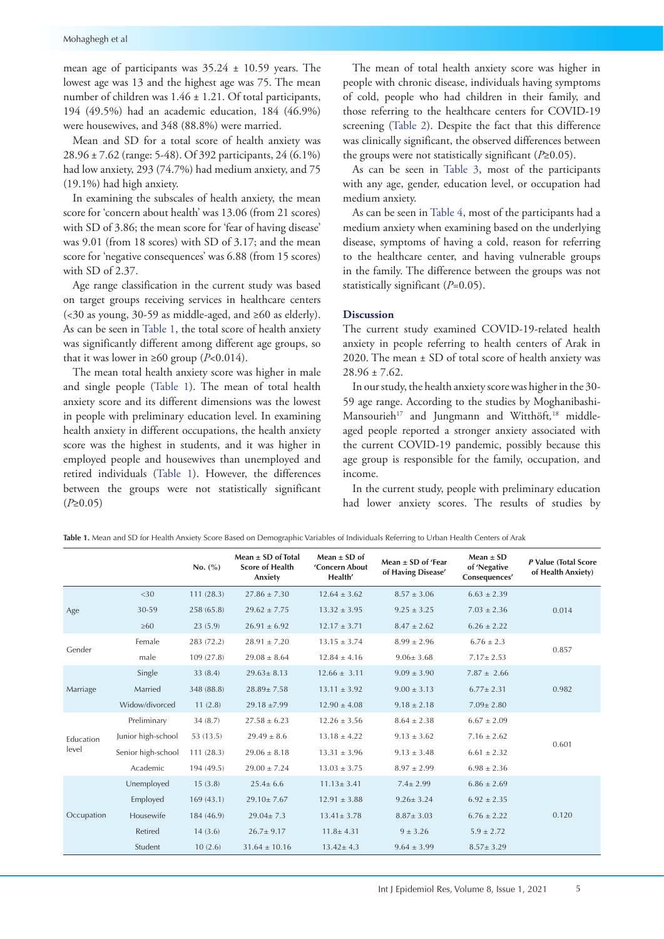mean age of participants was 35.24 ± 10.59 years. The lowest age was 13 and the highest age was 75. The mean number of children was 1.46 ± 1.21. Of total participants, 194 (49.5%) had an academic education, 184 (46.9%) were housewives, and 348 (88.8%) were married.

Mean and SD for a total score of health anxiety was 28.96 ± 7.62 (range: 5-48). Of 392 participants, 24 (6.1%) had low anxiety, 293 (74.7%) had medium anxiety, and 75 (19.1%) had high anxiety.

In examining the subscales of health anxiety, the mean score for 'concern about health' was 13.06 (from 21 scores) with SD of 3.86; the mean score for 'fear of having disease' was 9.01 (from 18 scores) with SD of 3.17; and the mean score for 'negative consequences' was 6.88 (from 15 scores) with SD of 2.37.

Age range classification in the current study was based on target groups receiving services in healthcare centers (<30 as young, 30-59 as middle-aged, and ≥60 as elderly). As can be seen in [Table 1](#page-2-0), the total score of health anxiety was significantly different among different age groups, so that it was lower in ≥60 group  $(P<0.014)$ .

The mean total health anxiety score was higher in male and single people [\(Table 1\)](#page-2-0). The mean of total health anxiety score and its different dimensions was the lowest in people with preliminary education level. In examining health anxiety in different occupations, the health anxiety score was the highest in students, and it was higher in employed people and housewives than unemployed and retired individuals ([Table 1\)](#page-2-0). However, the differences between the groups were not statistically significant (*P*≥0.05)

The mean of total health anxiety score was higher in people with chronic disease, individuals having symptoms of cold, people who had children in their family, and those referring to the healthcare centers for COVID-19 screening ([Table 2\)](#page-3-0). Despite the fact that this difference was clinically significant, the observed differences between the groups were not statistically significant (*P*≥0.05).

As can be seen in [Table 3](#page-3-1), most of the participants with any age, gender, education level, or occupation had medium anxiety.

As can be seen in [Table 4](#page-4-0), most of the participants had a medium anxiety when examining based on the underlying disease, symptoms of having a cold, reason for referring to the healthcare center, and having vulnerable groups in the family. The difference between the groups was not statistically significant (*P*=0.05).

# **Discussion**

The current study examined COVID-19-related health anxiety in people referring to health centers of Arak in 2020. The mean ± SD of total score of health anxiety was  $28.96 + 7.62$ 

In our study, the health anxiety score was higher in the 30- 59 age range. According to the studies by Moghanibashi-Mansourieh<sup>17</sup> and Jungmann and Witthöft,<sup>18</sup> middleaged people reported a stronger anxiety associated with the current COVID-19 pandemic, possibly because this age group is responsible for the family, occupation, and income.

In the current study, people with preliminary education had lower anxiety scores. The results of studies by

<span id="page-2-0"></span>

|  |  |  |  |  |  |  |  | <b>Table 1.</b> Mean and SD for Health Anxiety Score Based on Demographic Variables of Individuals Referring to Urban Health Centers of Arak |  |
|--|--|--|--|--|--|--|--|----------------------------------------------------------------------------------------------------------------------------------------------|--|
|  |  |  |  |  |  |  |  |                                                                                                                                              |  |

|                  |                    | No. (%)    | Mean $\pm$ SD of Total<br><b>Score of Health</b><br>Anxiety | Mean $\pm$ SD of<br>'Concern About<br>Health' | Mean $\pm$ SD of 'Fear<br>of Having Disease' | Mean $\pm$ SD<br>of 'Negative<br>Consequences' | P Value (Total Score<br>of Health Anxiety) |  |
|------------------|--------------------|------------|-------------------------------------------------------------|-----------------------------------------------|----------------------------------------------|------------------------------------------------|--------------------------------------------|--|
|                  | <30                | 111(28.3)  | $27.86 \pm 7.30$                                            | $12.64 \pm 3.62$                              | $8.57 \pm 3.06$                              | $6.63 \pm 2.39$                                |                                            |  |
| Age              | 30-59              | 258 (65.8) | $29.62 \pm 7.75$                                            | $13.32 \pm 3.95$                              | $9.25 \pm 3.25$                              | $7.03 \pm 2.36$                                | 0.014                                      |  |
|                  | $\geq 60$          | 23(5.9)    | $26.91 \pm 6.92$                                            | $12.17 \pm 3.71$                              | $8.47 \pm 2.62$                              | $6.26 + 2.22$                                  |                                            |  |
| Gender           | Female             | 283 (72.2) | $28.91 \pm 7.20$                                            | $13.15 \pm 3.74$                              | $8.99 \pm 2.96$                              | $6.76 \pm 2.3$                                 | 0.857                                      |  |
|                  | male               | 109(27.8)  | $29.08 \pm 8.64$                                            | $12.84 \pm 4.16$                              | $9.06 \pm 3.68$                              | $7.17 \pm 2.53$                                |                                            |  |
|                  | Single             | 33(8.4)    | $29.63 \pm 8.13$                                            | $12.66 \pm 3.11$                              | $9.09 \pm 3.90$                              | $7.87 \pm 2.66$                                |                                            |  |
| Marriage         | Married            | 348 (88.8) | $28.89 \pm 7.58$                                            | $13.11 \pm 3.92$                              | $9.00 \pm 3.13$                              | $6.77 \pm 2.31$                                | 0.982                                      |  |
|                  | Widow/divorced     | 11(2.8)    | $29.18 \pm 7.99$                                            | $12.90 \pm 4.08$                              | $9.18 \pm 2.18$                              | $7.09 \pm 2.80$                                |                                            |  |
|                  | Preliminary        | 34(8.7)    | $27.58 \pm 6.23$                                            | $12.26 \pm 3.56$                              | $8.64 \pm 2.38$                              | $6.67 \pm 2.09$                                |                                            |  |
| <b>Education</b> | Junior high-school | 53 (13.5)  | $29.49 \pm 8.6$                                             | $13.18 \pm 4.22$                              | $9.13 \pm 3.62$                              | $7.16 \pm 2.62$                                | 0.601                                      |  |
| level            | Senior high-school | 111(28.3)  | $29.06 \pm 8.18$                                            | $13.31 \pm 3.96$                              | $9.13 \pm 3.48$                              | $6.61 \pm 2.32$                                |                                            |  |
|                  | Academic           | 194 (49.5) | $29.00 \pm 7.24$                                            | $13.03 \pm 3.75$                              | $8.97 \pm 2.99$                              | $6.98 \pm 2.36$                                |                                            |  |
|                  | Unemployed         | 15(3.8)    | $25.4 \pm 6.6$                                              | $11.13 \pm 3.41$                              | $7.4 \pm 2.99$                               | $6.86 \pm 2.69$                                |                                            |  |
|                  | Employed           | 169(43.1)  | $29.10 \pm 7.67$                                            | $12.91 \pm 3.88$                              | $9.26 \pm 3.24$                              | $6.92 \pm 2.35$                                |                                            |  |
| Occupation       | Housewife          | 184 (46.9) | $29.04 \pm 7.3$                                             | $13.41 \pm 3.78$                              | $8.87 \pm 3.03$                              | $6.76 + 2.22$                                  | 0.120                                      |  |
|                  | Retired            | 14(3.6)    | $26.7 \pm 9.17$                                             | $11.8 \pm 4.31$                               | $9 \pm 3.26$                                 | $5.9 \pm 2.72$                                 |                                            |  |
|                  | Student            | 10(2.6)    | $31.64 \pm 10.16$                                           | $13.42 \pm 4.3$                               | $9.64 \pm 3.99$                              | $8.57 \pm 3.29$                                |                                            |  |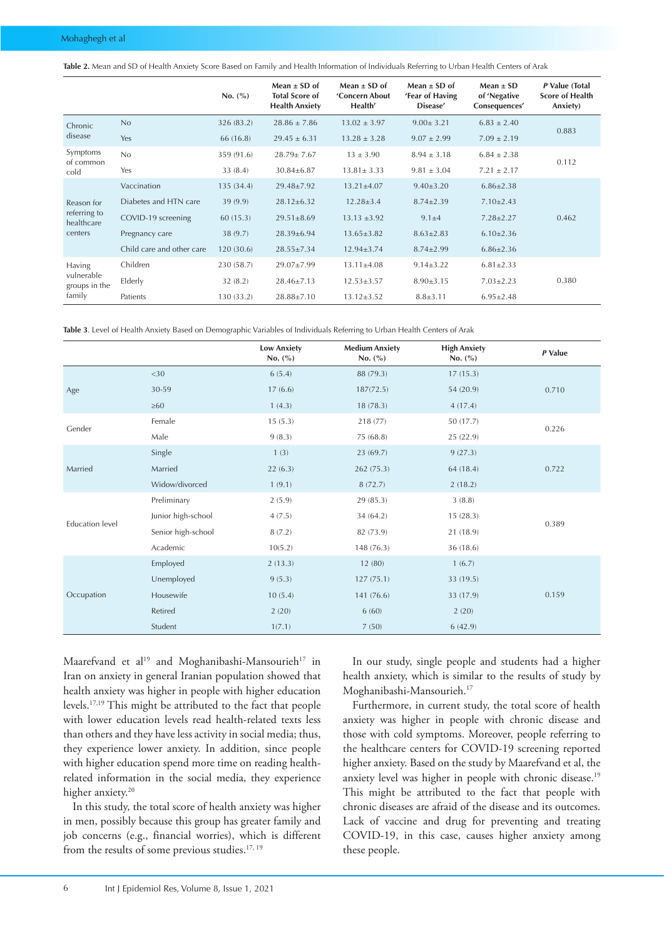<span id="page-3-0"></span>**Table 2.** Mean and SD of Health Anxiety Score Based on Family and Health Information of Individuals Referring to Urban Health Centers of Arak

|                             |                           | No. (%)    | Mean $\pm$ SD of<br><b>Total Score of</b><br><b>Health Anxiety</b> | Mean $\pm$ SD of<br>'Concern About<br>Health' | Mean $\pm$ SD of<br>'Fear of Having<br>Disease' | $Mean \pm SD$<br>of 'Negative<br>Consequences' | P Value (Total<br><b>Score of Health</b><br>Anxiety) |
|-----------------------------|---------------------------|------------|--------------------------------------------------------------------|-----------------------------------------------|-------------------------------------------------|------------------------------------------------|------------------------------------------------------|
| Chronic                     | No                        | 326 (83.2) | $28.86 \pm 7.86$                                                   | $13.02 \pm 3.97$                              | $9.00 \pm 3.21$                                 | $6.83 \pm 2.40$                                | 0.883                                                |
| disease                     | Yes                       | 66 (16.8)  | $29.45 \pm 6.31$                                                   | $13.28 \pm 3.28$                              | $9.07 \pm 2.99$                                 | $7.09 \pm 2.19$                                |                                                      |
| Symptoms                    | No                        | 359 (91.6) | $28.79 \pm 7.67$                                                   | $13 \pm 3.90$                                 | $8.94 \pm 3.18$                                 | $6.84 \pm 2.38$                                | 0.112                                                |
| of common<br>cold           | Yes                       | 33(8.4)    | $30.84 \pm 6.87$                                                   | $13.81 \pm 3.33$                              | $9.81 \pm 3.04$                                 | $7.21 \pm 2.17$                                |                                                      |
|                             | Vaccination               | 135(34.4)  | 29.48±7.92                                                         | $13.21 \pm 4.07$                              | $9.40 \pm 3.20$                                 | $6.86 \pm 2.38$                                |                                                      |
| Reason for                  | Diabetes and HTN care     | 39(9.9)    | $28.12 \pm 6.32$                                                   | $12.28 \pm 3.4$                               | $8.74 \pm 2.39$                                 | $7.10 \pm 2.43$                                |                                                      |
| referring to<br>healthcare  | COVID-19 screening        | 60(15.3)   | $29.51 \pm 8.69$                                                   | $13.13 \pm 3.92$                              | $9.1 + 4$                                       | $7.28 \pm 2.27$                                | 0.462                                                |
| centers                     | Pregnancy care            | 38(9.7)    | $28.39 \pm 6.94$                                                   | $13.65 \pm 3.82$                              | $8.63 \pm 2.83$                                 | $6.10 \pm 2.36$                                |                                                      |
|                             | Child care and other care | 120(30.6)  | $28.55 \pm 7.34$                                                   | $12.94 \pm 3.74$                              | $8.74 \pm 2.99$                                 | $6.86 \pm 2.36$                                |                                                      |
| Having                      | Children                  | 230 (58.7) | 29.07±7.99                                                         | $13.11 \pm 4.08$                              | $9.14 \pm 3.22$                                 | $6.81 \pm 2.33$                                |                                                      |
| vulnerable<br>groups in the | Elderly                   | 32(8.2)    | $28.46 \pm 7.13$                                                   | $12.53 \pm 3.57$                              | $8.90 \pm 3.15$                                 | $7.03 \pm 2.23$                                | 0.380                                                |
| family                      | Patients                  | 130 (33.2) | $28.88 \pm 7.10$                                                   | $13.12 \pm 3.52$                              | $8.8 \pm 3.11$                                  | $6.95 \pm 2.48$                                |                                                      |

<span id="page-3-1"></span>**Table 3**. Level of Health Anxiety Based on Demographic Variables of Individuals Referring to Urban Health Centers of Arak

|                        |                    | <b>Low Anxiety</b><br>No. $(\% )$ | <b>Medium Anxiety</b><br>No. $(\% )$ | <b>High Anxiety</b><br>No. $(\% )$ | P Value |  |
|------------------------|--------------------|-----------------------------------|--------------------------------------|------------------------------------|---------|--|
|                        | $<$ 30             | 6(5.4)                            | 88 (79.3)                            | 17(15.3)                           |         |  |
| Age                    | 30-59              | 17(6.6)                           | 187(72.5)                            | 54 (20.9)                          | 0.710   |  |
|                        | $\geq 60$          | 1(4.3)                            | 18(78.3)                             | 4(17.4)                            |         |  |
| Gender                 | Female             | 15(5.3)                           | 218 (77)                             | 50 (17.7)                          | 0.226   |  |
|                        | Male               | 9(8.3)                            | 75 (68.8)                            | 25 (22.9)                          |         |  |
|                        | Single             | 1(3)                              | 23(69.7)                             | 9(27.3)                            |         |  |
| Married                | Married            | 22(6.3)                           | 262 (75.3)                           | 64 (18.4)                          | 0.722   |  |
|                        | Widow/divorced     | 1(9.1)                            | 8(72.7)                              | 2(18.2)                            |         |  |
|                        | Preliminary        | 2(5.9)                            | 29 (85.3)                            | 3(8.8)                             |         |  |
| <b>Education level</b> | Junior high-school | 4(7.5)                            | 34 (64.2)                            | 15(28.3)                           | 0.389   |  |
|                        | Senior high-school | 8(7.2)                            | 82 (73.9)                            | 21 (18.9)                          |         |  |
|                        | Academic           | 10(5.2)                           | 148 (76.3)                           | 36 (18.6)                          |         |  |
|                        | Employed           | 2(13.3)                           | 12(80)                               | 1(6.7)                             |         |  |
|                        | Unemployed         | 9(5.3)                            | 127(75.1)                            | 33 (19.5)                          |         |  |
| Occupation             | Housewife          | 10(5.4)                           | 141 (76.6)                           | 33 (17.9)                          | 0.159   |  |
|                        | Retired            | 2(20)                             | 6(60)                                | 2(20)                              |         |  |
|                        | Student            | 1(7.1)                            | 7(50)                                | 6(42.9)                            |         |  |

Maarefvand et al<sup>19</sup> and Moghanibashi-Mansourieh<sup>17</sup> in Iran on anxiety in general Iranian population showed that health anxiety was higher in people with higher education levels.17,19 This might be attributed to the fact that people with lower education levels read health-related texts less than others and they have less activity in social media; thus, they experience lower anxiety. In addition, since people with higher education spend more time on reading healthrelated information in the social media, they experience higher anxiety.<sup>20</sup>

In this study, the total score of health anxiety was higher in men, possibly because this group has greater family and job concerns (e.g., financial worries), which is different from the results of some previous studies.<sup>17, 19</sup>

In our study, single people and students had a higher health anxiety, which is similar to the results of study by Moghanibashi-Mansourieh.17

Furthermore, in current study, the total score of health anxiety was higher in people with chronic disease and those with cold symptoms. Moreover, people referring to the healthcare centers for COVID-19 screening reported higher anxiety. Based on the study by Maarefvand et al, the anxiety level was higher in people with chronic disease.<sup>19</sup> This might be attributed to the fact that people with chronic diseases are afraid of the disease and its outcomes. Lack of vaccine and drug for preventing and treating COVID-19, in this case, causes higher anxiety among these people.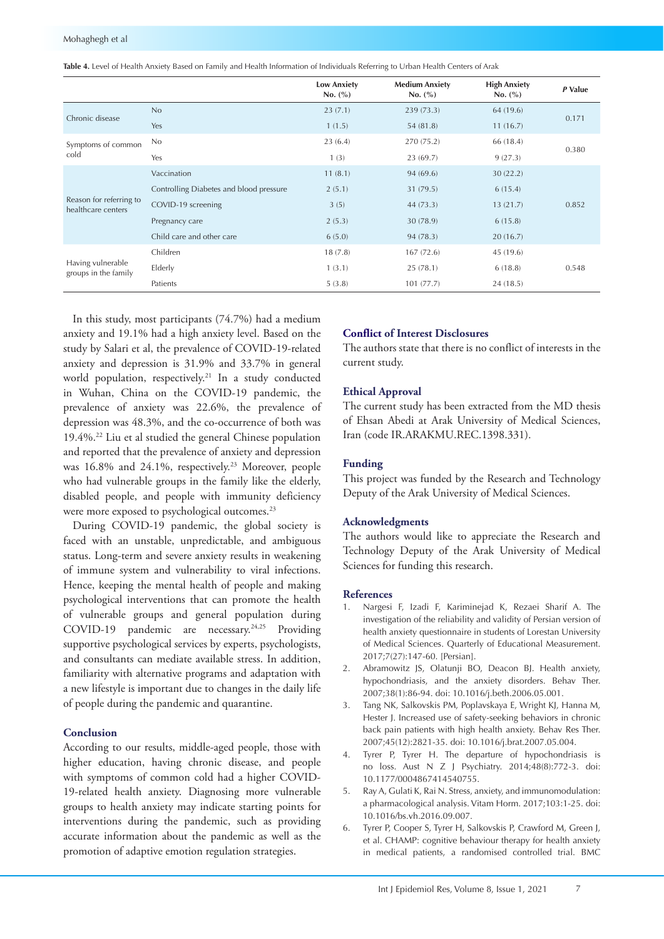<span id="page-4-0"></span>

|                                               |                                         | <b>Low Anxiety</b><br>No. (%) | <b>Medium Anxiety</b><br>No. (%) | <b>High Anxiety</b><br>No. (%) | P Value |  |
|-----------------------------------------------|-----------------------------------------|-------------------------------|----------------------------------|--------------------------------|---------|--|
| Chronic disease                               | No                                      | 23(7.1)                       | 239 (73.3)                       | 64 (19.6)                      | 0.171   |  |
|                                               | Yes                                     | 1(1.5)                        | 54 (81.8)                        | 11(16.7)                       |         |  |
| Symptoms of common                            | No                                      | 23(6.4)                       | 270 (75.2)                       | 66 (18.4)                      |         |  |
| cold                                          | Yes                                     | 1(3)                          | 23(69.7)                         | 9(27.3)                        | 0.380   |  |
|                                               | Vaccination                             | 11(8.1)                       | 94 (69.6)                        | 30(22.2)                       |         |  |
|                                               | Controlling Diabetes and blood pressure | 2(5.1)                        | 31 (79.5)                        | 6(15.4)                        |         |  |
| Reason for referring to<br>healthcare centers | COVID-19 screening                      | 3(5)                          | 44(73.3)                         | 13(21.7)                       | 0.852   |  |
|                                               | Pregnancy care                          | 2(5.3)                        | 30 (78.9)                        | 6(15.8)                        |         |  |
|                                               | Child care and other care               | 6(5.0)                        | 94 (78.3)                        | 20(16.7)                       |         |  |
|                                               | Children                                | 18(7.8)                       | 167(72.6)                        | 45 (19.6)                      |         |  |
| Having vulnerable<br>groups in the family     | Elderly                                 | 1(3.1)                        | 25(78.1)                         | 6(18.8)                        | 0.548   |  |
|                                               | Patients                                | 5(3.8)                        | 101(77.7)                        | 24(18.5)                       |         |  |

In this study, most participants (74.7%) had a medium anxiety and 19.1% had a high anxiety level. Based on the study by Salari et al, the prevalence of COVID-19-related anxiety and depression is 31.9% and 33.7% in general world population, respectively.<sup>21</sup> In a study conducted in Wuhan, China on the COVID-19 pandemic, the prevalence of anxiety was 22.6%, the prevalence of depression was 48.3%, and the co-occurrence of both was 19.4%.22 Liu et al studied the general Chinese population and reported that the prevalence of anxiety and depression was 16.8% and 24.1%, respectively.<sup>23</sup> Moreover, people who had vulnerable groups in the family like the elderly, disabled people, and people with immunity deficiency were more exposed to psychological outcomes.<sup>23</sup>

During COVID-19 pandemic, the global society is faced with an unstable, unpredictable, and ambiguous status. Long-term and severe anxiety results in weakening of immune system and vulnerability to viral infections. Hence, keeping the mental health of people and making psychological interventions that can promote the health of vulnerable groups and general population during COVID-19 pandemic are necessary.<sup>24,25</sup> Providing supportive psychological services by experts, psychologists, and consultants can mediate available stress. In addition, familiarity with alternative programs and adaptation with a new lifestyle is important due to changes in the daily life of people during the pandemic and quarantine.

## **Conclusion**

According to our results, middle-aged people, those with higher education, having chronic disease, and people with symptoms of common cold had a higher COVID-19-related health anxiety. Diagnosing more vulnerable groups to health anxiety may indicate starting points for interventions during the pandemic, such as providing accurate information about the pandemic as well as the promotion of adaptive emotion regulation strategies.

## **Conflict of Interest Disclosures**

The authors state that there is no conflict of interests in the current study.

#### **Ethical Approval**

The current study has been extracted from the MD thesis of Ehsan Abedi at Arak University of Medical Sciences, Iran (code IR.ARAKMU.REC.1398.331).

#### **Funding**

This project was funded by the Research and Technology Deputy of the Arak University of Medical Sciences.

#### **Acknowledgments**

The authors would like to appreciate the Research and Technology Deputy of the Arak University of Medical Sciences for funding this research.

#### **References**

- 1. Nargesi F, Izadi F, Kariminejad K, Rezaei Sharif A. The investigation of the reliability and validity of Persian version of health anxiety questionnaire in students of Lorestan University of Medical Sciences. Quarterly of Educational Measurement. 2017;7(27):147-60. [Persian].
- 2. Abramowitz JS, Olatunji BO, Deacon BJ. Health anxiety, hypochondriasis, and the anxiety disorders. Behav Ther. 2007;38(1):86-94. doi: 10.1016/j.beth.2006.05.001.
- 3. Tang NK, Salkovskis PM, Poplavskaya E, Wright KJ, Hanna M, Hester J. Increased use of safety-seeking behaviors in chronic back pain patients with high health anxiety. Behav Res Ther. 2007;45(12):2821-35. doi: 10.1016/j.brat.2007.05.004.
- 4. Tyrer P, Tyrer H. The departure of hypochondriasis is no loss. Aust N Z J Psychiatry. 2014;48(8):772-3. doi: 10.1177/0004867414540755.
- 5. Ray A, Gulati K, Rai N. Stress, anxiety, and immunomodulation: a pharmacological analysis. Vitam Horm. 2017;103:1-25. doi: 10.1016/bs.vh.2016.09.007.
- 6. Tyrer P, Cooper S, Tyrer H, Salkovskis P, Crawford M, Green J, et al. CHAMP: cognitive behaviour therapy for health anxiety in medical patients, a randomised controlled trial. BMC